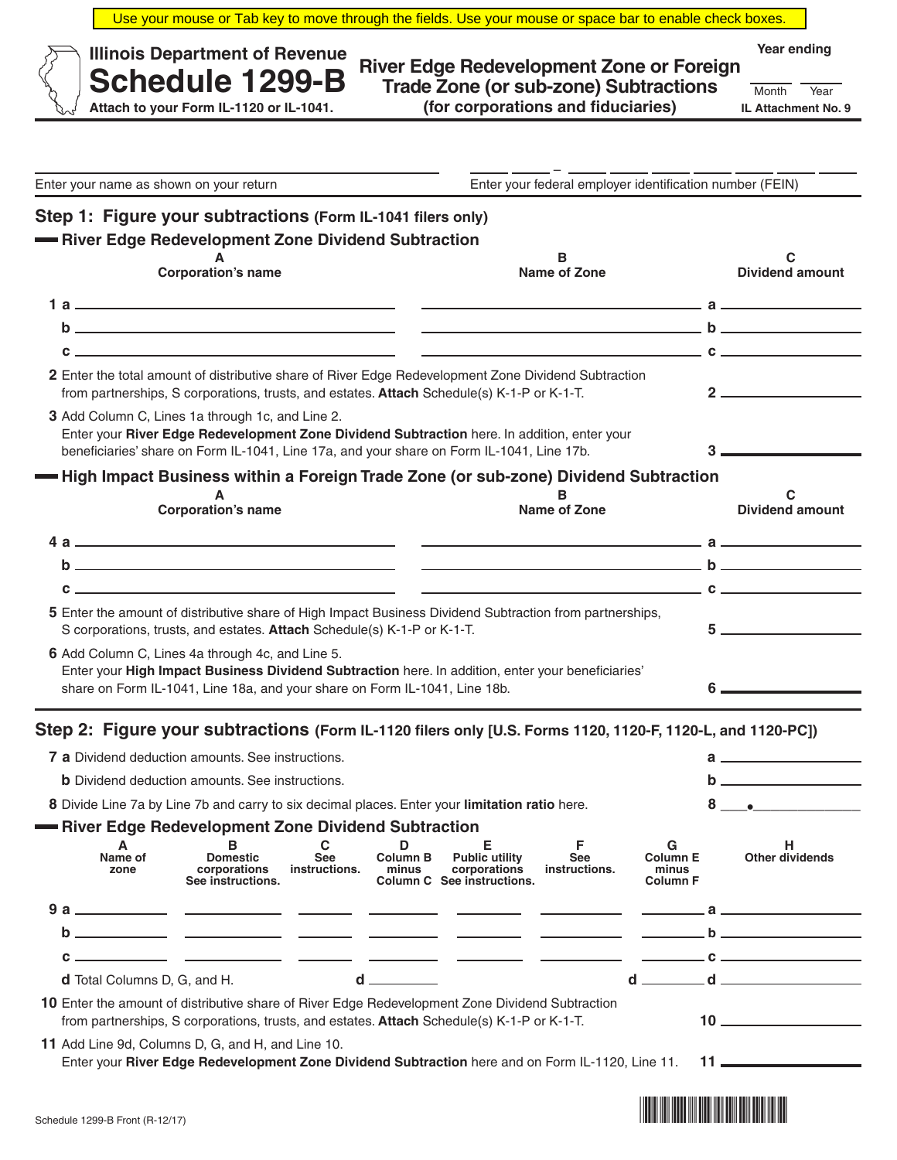| Use your mouse or Tab key to move through the fields. Use your mouse or space bar to enable check boxes.                                                                                                                                                                                            |                                                                                                                                                                                                                                              |                                  |                               |                                                                          |                                                          |                                                  |    |                                                                                                                                                                                                                                                                                                                        |
|-----------------------------------------------------------------------------------------------------------------------------------------------------------------------------------------------------------------------------------------------------------------------------------------------------|----------------------------------------------------------------------------------------------------------------------------------------------------------------------------------------------------------------------------------------------|----------------------------------|-------------------------------|--------------------------------------------------------------------------|----------------------------------------------------------|--------------------------------------------------|----|------------------------------------------------------------------------------------------------------------------------------------------------------------------------------------------------------------------------------------------------------------------------------------------------------------------------|
| Year ending<br><b>Illinois Department of Revenue</b><br>River Edge Redevelopment Zone or Foreign<br><b>Schedule 1299-B</b><br><b>Trade Zone (or sub-zone) Subtractions</b><br>Month<br>Year<br>(for corporations and fiduciaries)<br>Attach to your Form IL-1120 or IL-1041.<br>IL Attachment No. 9 |                                                                                                                                                                                                                                              |                                  |                               |                                                                          |                                                          |                                                  |    |                                                                                                                                                                                                                                                                                                                        |
|                                                                                                                                                                                                                                                                                                     |                                                                                                                                                                                                                                              |                                  |                               |                                                                          |                                                          |                                                  |    |                                                                                                                                                                                                                                                                                                                        |
| Enter your name as shown on your return                                                                                                                                                                                                                                                             |                                                                                                                                                                                                                                              |                                  |                               |                                                                          | Enter your federal employer identification number (FEIN) |                                                  |    |                                                                                                                                                                                                                                                                                                                        |
| Step 1: Figure your subtractions (Form IL-1041 filers only)                                                                                                                                                                                                                                         |                                                                                                                                                                                                                                              |                                  |                               |                                                                          |                                                          |                                                  |    |                                                                                                                                                                                                                                                                                                                        |
| -River Edge Redevelopment Zone Dividend Subtraction                                                                                                                                                                                                                                                 |                                                                                                                                                                                                                                              |                                  |                               |                                                                          |                                                          |                                                  |    |                                                                                                                                                                                                                                                                                                                        |
|                                                                                                                                                                                                                                                                                                     | в<br><b>Corporation's name</b><br><b>Name of Zone</b>                                                                                                                                                                                        |                                  |                               |                                                                          |                                                          |                                                  |    | С<br><b>Dividend amount</b>                                                                                                                                                                                                                                                                                            |
|                                                                                                                                                                                                                                                                                                     |                                                                                                                                                                                                                                              |                                  |                               |                                                                          |                                                          |                                                  |    |                                                                                                                                                                                                                                                                                                                        |
|                                                                                                                                                                                                                                                                                                     |                                                                                                                                                                                                                                              |                                  |                               |                                                                          |                                                          |                                                  |    |                                                                                                                                                                                                                                                                                                                        |
|                                                                                                                                                                                                                                                                                                     | $c \sim$ $c \sim$                                                                                                                                                                                                                            |                                  |                               |                                                                          |                                                          |                                                  |    |                                                                                                                                                                                                                                                                                                                        |
|                                                                                                                                                                                                                                                                                                     | 2 Enter the total amount of distributive share of River Edge Redevelopment Zone Dividend Subtraction<br>from partnerships, S corporations, trusts, and estates. Attach Schedule(s) K-1-P or K-1-T.                                           |                                  |                               |                                                                          |                                                          |                                                  |    | $2 \overline{\phantom{a}}$                                                                                                                                                                                                                                                                                             |
|                                                                                                                                                                                                                                                                                                     | 3 Add Column C, Lines 1a through 1c, and Line 2.<br>Enter your River Edge Redevelopment Zone Dividend Subtraction here. In addition, enter your<br>beneficiaries' share on Form IL-1041, Line 17a, and your share on Form IL-1041, Line 17b. |                                  |                               |                                                                          |                                                          |                                                  |    |                                                                                                                                                                                                                                                                                                                        |
| - High Impact Business within a Foreign Trade Zone (or sub-zone) Dividend Subtraction                                                                                                                                                                                                               |                                                                                                                                                                                                                                              |                                  |                               |                                                                          |                                                          |                                                  |    |                                                                                                                                                                                                                                                                                                                        |
|                                                                                                                                                                                                                                                                                                     | A                                                                                                                                                                                                                                            |                                  |                               |                                                                          | в                                                        |                                                  |    | С                                                                                                                                                                                                                                                                                                                      |
|                                                                                                                                                                                                                                                                                                     | <b>Corporation's name</b>                                                                                                                                                                                                                    |                                  |                               |                                                                          | <b>Name of Zone</b>                                      |                                                  |    | <b>Dividend amount</b>                                                                                                                                                                                                                                                                                                 |
|                                                                                                                                                                                                                                                                                                     |                                                                                                                                                                                                                                              |                                  |                               |                                                                          |                                                          |                                                  |    |                                                                                                                                                                                                                                                                                                                        |
|                                                                                                                                                                                                                                                                                                     |                                                                                                                                                                                                                                              |                                  |                               |                                                                          |                                                          |                                                  |    | $\overline{a}$ becomes the set of $\overline{a}$ becomes the set of $\overline{a}$                                                                                                                                                                                                                                     |
| c                                                                                                                                                                                                                                                                                                   |                                                                                                                                                                                                                                              |                                  |                               |                                                                          |                                                          |                                                  |    |                                                                                                                                                                                                                                                                                                                        |
|                                                                                                                                                                                                                                                                                                     | 5 Enter the amount of distributive share of High Impact Business Dividend Subtraction from partnerships,<br>S corporations, trusts, and estates. Attach Schedule(s) K-1-P or K-1-T.                                                          |                                  |                               |                                                                          |                                                          |                                                  |    |                                                                                                                                                                                                                                                                                                                        |
|                                                                                                                                                                                                                                                                                                     | 6 Add Column C, Lines 4a through 4c, and Line 5.                                                                                                                                                                                             |                                  |                               |                                                                          |                                                          |                                                  |    |                                                                                                                                                                                                                                                                                                                        |
|                                                                                                                                                                                                                                                                                                     | Enter your High Impact Business Dividend Subtraction here. In addition, enter your beneficiaries'<br>share on Form IL-1041, Line 18a, and your share on Form IL-1041, Line 18b.                                                              |                                  |                               |                                                                          |                                                          |                                                  | 6. |                                                                                                                                                                                                                                                                                                                        |
|                                                                                                                                                                                                                                                                                                     |                                                                                                                                                                                                                                              |                                  |                               |                                                                          |                                                          |                                                  |    |                                                                                                                                                                                                                                                                                                                        |
| Step 2: Figure your subtractions (Form IL-1120 filers only [U.S. Forms 1120, 1120-F, 1120-L, and 1120-PC])                                                                                                                                                                                          |                                                                                                                                                                                                                                              |                                  |                               |                                                                          |                                                          |                                                  |    |                                                                                                                                                                                                                                                                                                                        |
|                                                                                                                                                                                                                                                                                                     | <b>7 a</b> Dividend deduction amounts. See instructions.                                                                                                                                                                                     |                                  |                               |                                                                          |                                                          |                                                  |    | $\mathbf{a}$ and $\mathbf{a}$ and $\mathbf{a}$                                                                                                                                                                                                                                                                         |
| <b>b</b> Dividend deduction amounts. See instructions.                                                                                                                                                                                                                                              |                                                                                                                                                                                                                                              |                                  |                               |                                                                          |                                                          |                                                  |    |                                                                                                                                                                                                                                                                                                                        |
| 8 Divide Line 7a by Line 7b and carry to six decimal places. Enter your limitation ratio here.                                                                                                                                                                                                      |                                                                                                                                                                                                                                              |                                  |                               |                                                                          |                                                          |                                                  |    | 8 .                                                                                                                                                                                                                                                                                                                    |
|                                                                                                                                                                                                                                                                                                     | <b>River Edge Redevelopment Zone Dividend Subtraction</b>                                                                                                                                                                                    |                                  |                               |                                                                          |                                                          |                                                  |    |                                                                                                                                                                                                                                                                                                                        |
| Α<br>Name of<br>zone                                                                                                                                                                                                                                                                                | в<br><b>Domestic</b><br>corporations<br>See instructions.                                                                                                                                                                                    | C<br><b>See</b><br>instructions. | D<br><b>Column B</b><br>minus | Е<br><b>Public utility</b><br>corporations<br>Column C See instructions. | F<br><b>See</b><br>instructions.                         | G<br><b>Column E</b><br>minus<br><b>Column F</b> |    | н<br><b>Other dividends</b>                                                                                                                                                                                                                                                                                            |
|                                                                                                                                                                                                                                                                                                     |                                                                                                                                                                                                                                              |                                  |                               |                                                                          |                                                          |                                                  |    |                                                                                                                                                                                                                                                                                                                        |
|                                                                                                                                                                                                                                                                                                     |                                                                                                                                                                                                                                              |                                  |                               |                                                                          |                                                          |                                                  |    |                                                                                                                                                                                                                                                                                                                        |
|                                                                                                                                                                                                                                                                                                     |                                                                                                                                                                                                                                              |                                  |                               |                                                                          |                                                          |                                                  |    |                                                                                                                                                                                                                                                                                                                        |
| d Total Columns D, G, and H.                                                                                                                                                                                                                                                                        |                                                                                                                                                                                                                                              |                                  | $d \overline{\phantom{a}}$    |                                                                          |                                                          |                                                  |    | $d \overline{\phantom{a}} d \overline{\phantom{a}}$                                                                                                                                                                                                                                                                    |
| 10 Enter the amount of distributive share of River Edge Redevelopment Zone Dividend Subtraction                                                                                                                                                                                                     | from partnerships, S corporations, trusts, and estates. Attach Schedule(s) K-1-P or K-1-T.                                                                                                                                                   |                                  |                               |                                                                          |                                                          |                                                  |    |                                                                                                                                                                                                                                                                                                                        |
| 11 Add Line 9d, Columns D, G, and H, and Line 10.                                                                                                                                                                                                                                                   |                                                                                                                                                                                                                                              |                                  |                               |                                                                          |                                                          |                                                  |    |                                                                                                                                                                                                                                                                                                                        |
|                                                                                                                                                                                                                                                                                                     | Enter your River Edge Redevelopment Zone Dividend Subtraction here and on Form IL-1120, Line 11.                                                                                                                                             |                                  |                               |                                                                          |                                                          |                                                  |    | $11$ $\frac{1}{2}$ $\frac{1}{2}$ $\frac{1}{2}$ $\frac{1}{2}$ $\frac{1}{2}$ $\frac{1}{2}$ $\frac{1}{2}$ $\frac{1}{2}$ $\frac{1}{2}$ $\frac{1}{2}$ $\frac{1}{2}$ $\frac{1}{2}$ $\frac{1}{2}$ $\frac{1}{2}$ $\frac{1}{2}$ $\frac{1}{2}$ $\frac{1}{2}$ $\frac{1}{2}$ $\frac{1}{2}$ $\frac{1}{2}$ $\frac{1}{2}$ $\frac{1}{$ |